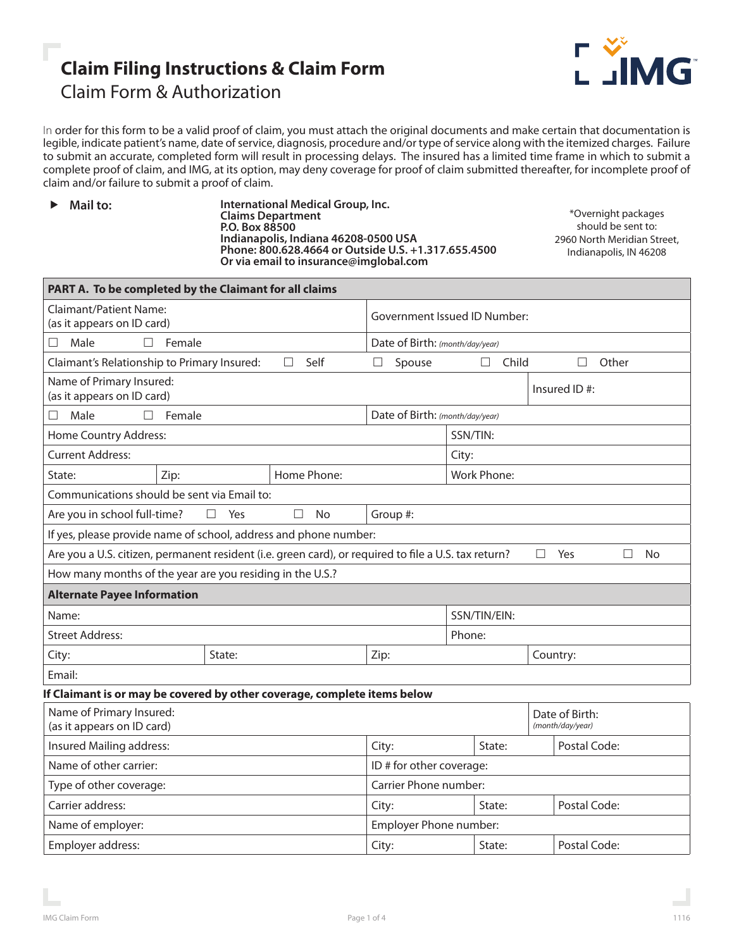# **Claim Filing Instructions & Claim Form** Claim Form & Authorization



In order for this form to be a valid proof of claim, you must attach the original documents and make certain that documentation is legible, indicate patient's name, date of service, diagnosis, procedure and/or type of service along with the itemized charges. Failure to submit an accurate, completed form will result in processing delays. The insured has a limited time frame in which to submit a complete proof of claim, and IMG, at its option, may deny coverage for proof of claim submitted thereafter, for incomplete proof of claim and/or failure to submit a proof of claim.

▶ Mail to: **International Medical Group, Inc. Claims Department P.O. Box 88500 Indianapolis, Indiana 46208-0500 USA Phone: 800.628.4664 or Outside U.S. +1.317.655.4500 Or via email to insurance@imglobal.com**

\*Overnight packages should be sent to: 2960 North Meridian Street, Indianapolis, IN 46208

| PART A. To be completed by the Claimant for all claims                                                                                |        |          |                     |                                 |                        |                            |                                    |              |              |  |
|---------------------------------------------------------------------------------------------------------------------------------------|--------|----------|---------------------|---------------------------------|------------------------|----------------------------|------------------------------------|--------------|--------------|--|
| <b>Claimant/Patient Name:</b><br>(as it appears on ID card)                                                                           |        |          |                     | Government Issued ID Number:    |                        |                            |                                    |              |              |  |
| Male<br>Female<br>П<br>П                                                                                                              |        |          |                     | Date of Birth: (month/day/year) |                        |                            |                                    |              |              |  |
| Self<br>Claimant's Relationship to Primary Insured:<br>П                                                                              |        |          |                     |                                 | Spouse                 | $\Box$ Child<br>Other<br>П |                                    |              |              |  |
| Name of Primary Insured:<br>(as it appears on ID card)                                                                                |        |          |                     |                                 |                        |                            |                                    |              | Insured ID#: |  |
| Male<br>П.<br>П                                                                                                                       | Female |          |                     | Date of Birth: (month/day/year) |                        |                            |                                    |              |              |  |
| Home Country Address:                                                                                                                 |        |          |                     | SSN/TIN:                        |                        |                            |                                    |              |              |  |
| <b>Current Address:</b>                                                                                                               |        |          |                     |                                 | City:                  |                            |                                    |              |              |  |
| Zip:<br>Home Phone:<br>State:                                                                                                         |        |          |                     | <b>Work Phone:</b>              |                        |                            |                                    |              |              |  |
| Communications should be sent via Email to:                                                                                           |        |          |                     |                                 |                        |                            |                                    |              |              |  |
| Are you in school full-time?                                                                                                          |        | □<br>Yes | <b>No</b><br>$\Box$ | Group #:                        |                        |                            |                                    |              |              |  |
| If yes, please provide name of school, address and phone number:                                                                      |        |          |                     |                                 |                        |                            |                                    |              |              |  |
| Are you a U.S. citizen, permanent resident (i.e. green card), or required to file a U.S. tax return?<br>$\Box$<br>Yes<br>$\Box$<br>No |        |          |                     |                                 |                        |                            |                                    |              |              |  |
| How many months of the year are you residing in the U.S.?                                                                             |        |          |                     |                                 |                        |                            |                                    |              |              |  |
| <b>Alternate Payee Information</b>                                                                                                    |        |          |                     |                                 |                        |                            |                                    |              |              |  |
| Name:                                                                                                                                 |        |          |                     | SSN/TIN/EIN:                    |                        |                            |                                    |              |              |  |
| <b>Street Address:</b>                                                                                                                |        |          |                     |                                 | Phone:                 |                            |                                    |              |              |  |
| City:                                                                                                                                 | State: |          |                     | Zip:                            |                        |                            |                                    | Country:     |              |  |
| Email:                                                                                                                                |        |          |                     |                                 |                        |                            |                                    |              |              |  |
| If Claimant is or may be covered by other coverage, complete items below                                                              |        |          |                     |                                 |                        |                            |                                    |              |              |  |
| Name of Primary Insured:<br>(as it appears on ID card)                                                                                |        |          |                     |                                 |                        |                            | Date of Birth:<br>(month/day/year) |              |              |  |
| Insured Mailing address:                                                                                                              |        |          |                     | City:                           |                        | State:                     |                                    | Postal Code: |              |  |
| Name of other carrier:                                                                                                                |        |          |                     | ID # for other coverage:        |                        |                            |                                    |              |              |  |
| Type of other coverage:                                                                                                               |        |          |                     | Carrier Phone number:           |                        |                            |                                    |              |              |  |
| Carrier address:                                                                                                                      |        |          |                     | City:                           | Postal Code:<br>State: |                            |                                    |              |              |  |
| Name of employer:                                                                                                                     |        |          |                     |                                 | Employer Phone number: |                            |                                    |              |              |  |
| Employer address:                                                                                                                     |        |          |                     | City:                           |                        |                            | Postal Code:<br>State:             |              |              |  |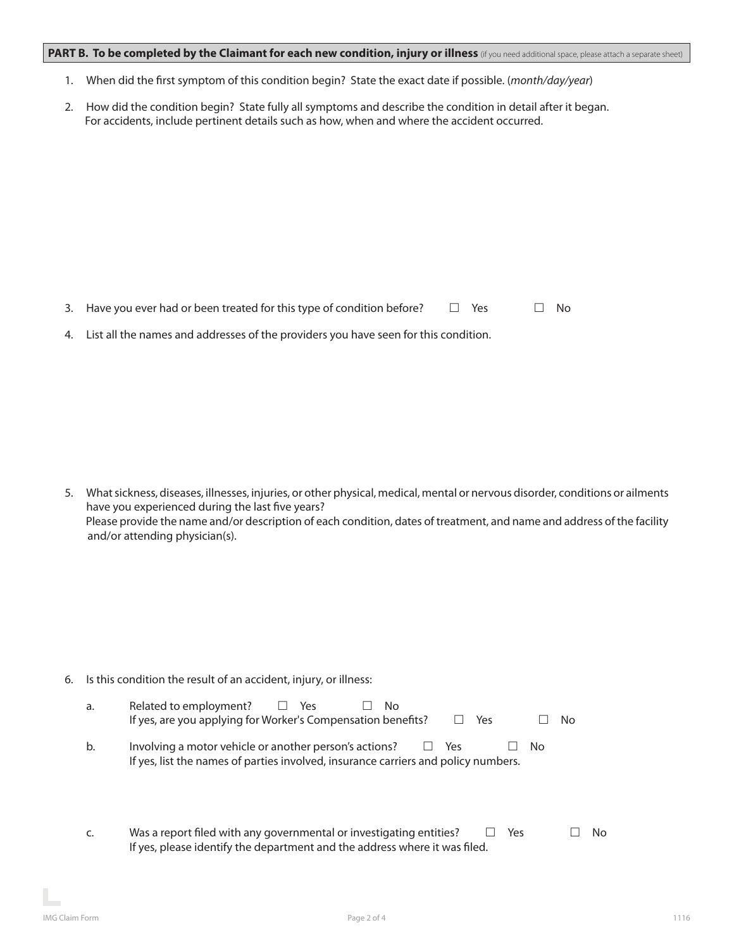## PART B. To be completed by the Claimant for each new condition, injury or illness (if you need additional space, please attach a separate sheet)

- 1. When did the first symptom of this condition begin? State the exact date if possible. (*month/day/year*)
- 2. How did the condition begin? State fully all symptoms and describe the condition in detail after it began. For accidents, include pertinent details such as how, when and where the accident occurred.

3. Have you ever had or been treated for this type of condition before?  $\Box$  Yes  $\Box$  No

4. List all the names and addresses of the providers you have seen for this condition.

5. What sickness, diseases, illnesses, injuries, or other physical, medical, mental or nervous disorder, conditions or ailments have you experienced during the last five years? Please provide the name and/or description of each condition, dates of treatment, and name and address of the facility and/or attending physician(s).

6. Is this condition the result of an accident, injury, or illness:

| a. | Related to employment? $\square$ Yes<br>No.<br>If yes, are you applying for Worker's Compensation benefits?<br>⊟ Yes                                           | No. |
|----|----------------------------------------------------------------------------------------------------------------------------------------------------------------|-----|
| b. | Involving a motor vehicle or another person's actions? $\Box$ Yes<br>No.<br>If yes, list the names of parties involved, insurance carriers and policy numbers. |     |

c. Was a report filed with any governmental or investigating entities?  $\Box$  Yes  $\Box$  No If yes, please identify the department and the address where it was filed.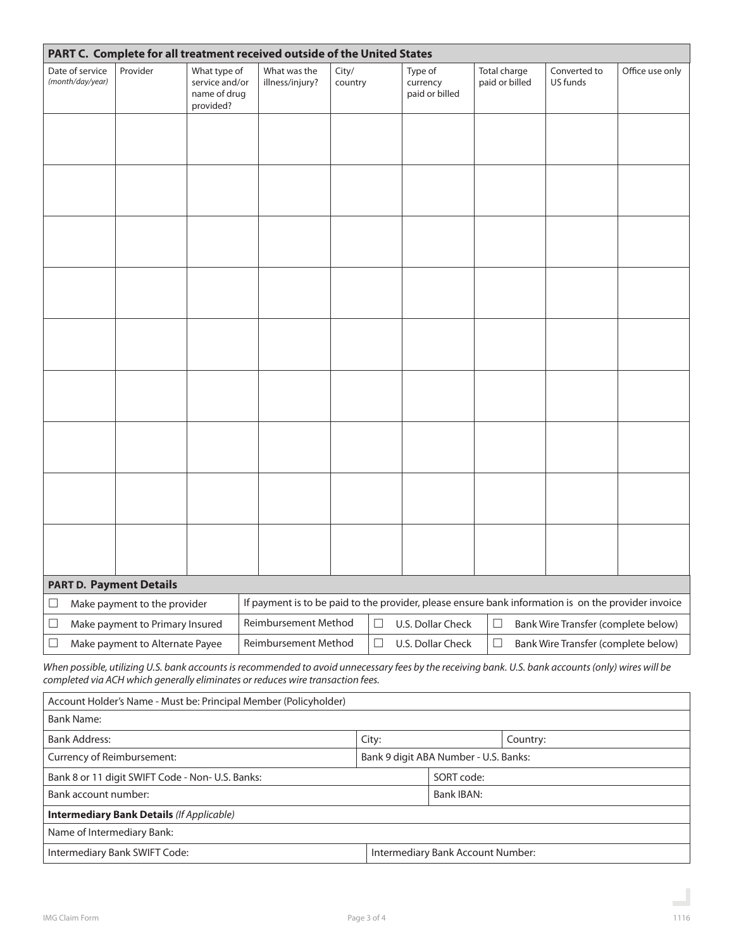| PART C. Complete for all treatment received outside of the United States                                                                            |                                                                                                                                         |                                                             |                                                                                                     |                  |                                       |                                |                                     |                 |  |  |
|-----------------------------------------------------------------------------------------------------------------------------------------------------|-----------------------------------------------------------------------------------------------------------------------------------------|-------------------------------------------------------------|-----------------------------------------------------------------------------------------------------|------------------|---------------------------------------|--------------------------------|-------------------------------------|-----------------|--|--|
| Date of service<br>(month/day/year)                                                                                                                 | Provider                                                                                                                                | What type of<br>service and/or<br>name of drug<br>provided? | What was the<br>illness/injury?                                                                     | City/<br>country | Type of<br>currency<br>paid or billed | Total charge<br>paid or billed | Converted to<br>US funds            | Office use only |  |  |
|                                                                                                                                                     |                                                                                                                                         |                                                             |                                                                                                     |                  |                                       |                                |                                     |                 |  |  |
|                                                                                                                                                     |                                                                                                                                         |                                                             |                                                                                                     |                  |                                       |                                |                                     |                 |  |  |
|                                                                                                                                                     |                                                                                                                                         |                                                             |                                                                                                     |                  |                                       |                                |                                     |                 |  |  |
|                                                                                                                                                     |                                                                                                                                         |                                                             |                                                                                                     |                  |                                       |                                |                                     |                 |  |  |
|                                                                                                                                                     |                                                                                                                                         |                                                             |                                                                                                     |                  |                                       |                                |                                     |                 |  |  |
|                                                                                                                                                     |                                                                                                                                         |                                                             |                                                                                                     |                  |                                       |                                |                                     |                 |  |  |
|                                                                                                                                                     |                                                                                                                                         |                                                             |                                                                                                     |                  |                                       |                                |                                     |                 |  |  |
|                                                                                                                                                     |                                                                                                                                         |                                                             |                                                                                                     |                  |                                       |                                |                                     |                 |  |  |
|                                                                                                                                                     |                                                                                                                                         |                                                             |                                                                                                     |                  |                                       |                                |                                     |                 |  |  |
| <b>PART D. Payment Details</b>                                                                                                                      |                                                                                                                                         |                                                             |                                                                                                     |                  |                                       |                                |                                     |                 |  |  |
| Make payment to the provider<br>$\Box$                                                                                                              |                                                                                                                                         |                                                             | If payment is to be paid to the provider, please ensure bank information is on the provider invoice |                  |                                       |                                |                                     |                 |  |  |
| Make payment to Primary Insured<br>$\Box$                                                                                                           |                                                                                                                                         |                                                             | Reimbursement Method                                                                                | $\Box$           | U.S. Dollar Check                     | $\Box$                         | Bank Wire Transfer (complete below) |                 |  |  |
| $\Box$                                                                                                                                              | Reimbursement Method<br>$\Box$<br>$\Box$<br>U.S. Dollar Check<br>Make payment to Alternate Payee<br>Bank Wire Transfer (complete below) |                                                             |                                                                                                     |                  |                                       |                                |                                     |                 |  |  |
| When possible, utilizing U.S. bank accounts is recommended to avoid unnecessary fees by the receiving bank. U.S. bank accounts (only) wires will be |                                                                                                                                         |                                                             |                                                                                                     |                  |                                       |                                |                                     |                 |  |  |

*completed via ACH which generally eliminates or reduces wire transaction fees.*

| Account Holder's Name - Must be: Principal Member (Policyholder)    |                                   |            |          |  |  |  |  |
|---------------------------------------------------------------------|-----------------------------------|------------|----------|--|--|--|--|
| <b>Bank Name:</b>                                                   |                                   |            |          |  |  |  |  |
| <b>Bank Address:</b>                                                | City:                             |            | Country: |  |  |  |  |
| Currency of Reimbursement:<br>Bank 9 digit ABA Number - U.S. Banks: |                                   |            |          |  |  |  |  |
| Bank 8 or 11 digit SWIFT Code - Non- U.S. Banks:                    |                                   | SORT code: |          |  |  |  |  |
| Bank account number:                                                |                                   | Bank IBAN: |          |  |  |  |  |
| <b>Intermediary Bank Details (If Applicable)</b>                    |                                   |            |          |  |  |  |  |
| Name of Intermediary Bank:                                          |                                   |            |          |  |  |  |  |
| Intermediary Bank SWIFT Code:                                       | Intermediary Bank Account Number: |            |          |  |  |  |  |